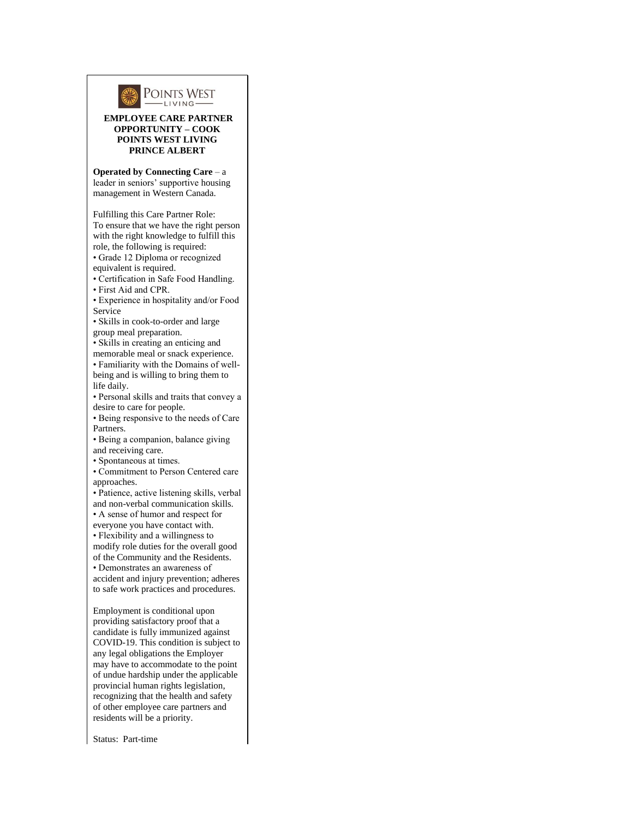

## **EMPLOYEE CARE PARTNER OPPORTUNITY – COOK POINTS WEST LIVING PRINCE ALBERT**

**Operated by Connecting Care** – a leader in seniors' supportive housing management in Western Canada.

Fulfilling this Care Partner Role: To ensure that we have the right person with the right knowledge to fulfill this role, the following is required:

• Grade 12 Diploma or recognized equivalent is required.

• Certification in Safe Food Handling.

• First Aid and CPR.

• Experience in hospitality and/or Food Service

• Skills in cook-to-order and large group meal preparation.

• Skills in creating an enticing and

memorable meal or snack experience.

• Familiarity with the Domains of wellbeing and is willing to bring them to life daily.

• Personal skills and traits that convey a desire to care for people.

• Being responsive to the needs of Care Partners.

• Being a companion, balance giving and receiving care.

• Spontaneous at times.

• Commitment to Person Centered care approaches.

• Patience, active listening skills, verbal and non-verbal communication skills.

• A sense of humor and respect for

everyone you have contact with.

• Flexibility and a willingness to modify role duties for the overall good of the Community and the Residents.

• Demonstrates an awareness of accident and injury prevention; adheres to safe work practices and procedures.

Employment is conditional upon providing satisfactory proof that a candidate is fully immunized against COVID-19. This condition is subject to any legal obligations the Employer may have to accommodate to the point of undue hardship under the applicable provincial human rights legislation, recognizing that the health and safety of other employee care partners and residents will be a priority.

Status: Part-time